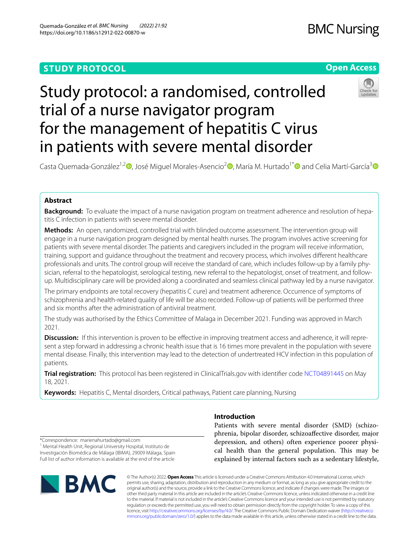# **STUDY PROTOCOL**

# **BMC Nursing**





# Study protocol: a randomised, controlled trial of a nurse navigator program for the management of hepatitis C virus in patients with severe mental disorder

Casta Quemada-González<sup>1,[2](https://orcid.org/0000-0001-8551-7137)</sup> [,](https://orcid.org/0000-0001-7911-7487) José Miguel Morales-Asencio<sup>2</sup> , María M. Hurtado<sup>1[\\*](http://orcid.org/0000-0003-1025-4824)</sup> and Celia Martí-García<sup>[3](https://orcid.org/0000-0003-2656-8473)</sup> D

# **Abstract**

**Background:** To evaluate the impact of a nurse navigation program on treatment adherence and resolution of hepatitis C infection in patients with severe mental disorder.

**Methods:** An open, randomized, controlled trial with blinded outcome assessment. The intervention group will engage in a nurse navigation program designed by mental health nurses. The program involves active screening for patients with severe mental disorder. The patients and caregivers included in the program will receive information, training, support and guidance throughout the treatment and recovery process, which involves diferent healthcare professionals and units. The control group will receive the standard of care, which includes follow-up by a family physician, referral to the hepatologist, serological testing, new referral to the hepatologist, onset of treatment, and followup. Multidisciplinary care will be provided along a coordinated and seamless clinical pathway led by a nurse navigator.

The primary endpoints are total recovery (hepatitis C cure) and treatment adherence. Occurrence of symptoms of schizophrenia and health-related quality of life will be also recorded. Follow-up of patients will be performed three and six months after the administration of antiviral treatment.

The study was authorised by the Ethics Committee of Malaga in December 2021. Funding was approved in March 2021.

**Discussion:** If this intervention is proven to be effective in improving treatment access and adherence, it will represent a step forward in addressing a chronic health issue that is 16 times more prevalent in the population with severe mental disease. Finally, this intervention may lead to the detection of undertreated HCV infection in this population of patients.

**Trial registration:** This protocol has been registered in ClinicalTrials.gov with identifer code [NCT04891445](https://clinicaltrials.gov/ct2/show/NCT04891445?id=NCT04891445&draw=2&rank=1) on May 18, 2021.

**Keywords:** Hepatitis C, Mental disorders, Critical pathways, Patient care planning, Nursing

\*Correspondence: marienahurtado@gmail.com <sup>1</sup> Mental Health Unit, Regional University Hospital, Instituto de Investigación Biomédica de Málaga (IBIMA), 29009 Málaga, Spain Full list of author information is available at the end of the article



# **Introduction**

Patients with severe mental disorder (SMD) (schizophrenia, bipolar disorder, schizoafective disorder, major depression, and others) often experience poorer physical health than the general population. This may be explained by internal factors such as a sedentary lifestyle,

© The Author(s) 2022. **Open Access** This article is licensed under a Creative Commons Attribution 4.0 International License, which permits use, sharing, adaptation, distribution and reproduction in any medium or format, as long as you give appropriate credit to the original author(s) and the source, provide a link to the Creative Commons licence, and indicate if changes were made. The images or other third party material in this article are included in the article's Creative Commons licence, unless indicated otherwise in a credit line to the material. If material is not included in the article's Creative Commons licence and your intended use is not permitted by statutory regulation or exceeds the permitted use, you will need to obtain permission directly from the copyright holder. To view a copy of this licence, visit [http://creativecommons.org/licenses/by/4.0/.](http://creativecommons.org/licenses/by/4.0/) The Creative Commons Public Domain Dedication waiver ([http://creativeco](http://creativecommons.org/publicdomain/zero/1.0/) [mmons.org/publicdomain/zero/1.0/](http://creativecommons.org/publicdomain/zero/1.0/)) applies to the data made available in this article, unless otherwise stated in a credit line to the data.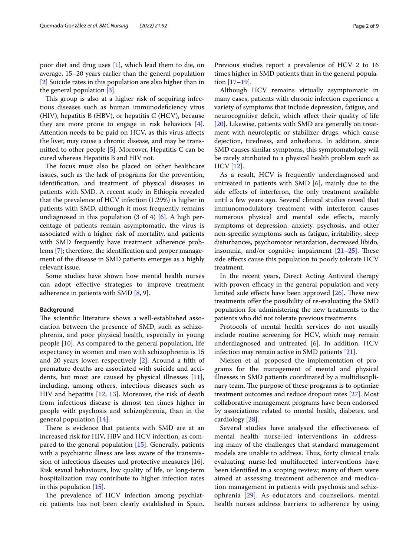poor diet and drug uses [[1\]](#page-7-0), which lead them to die, on average, 15–20 years earlier than the general population [[2\]](#page-7-1) Suicide rates in this population are also higher than in the general population [\[3](#page-7-2)].

This group is also at a higher risk of acquiring infectious diseases such as human immunodefciency virus (HIV), hepatitis B (HBV), or hepatitis C (HCV), because they are more prone to engage in risk behaviors [\[4](#page-7-3)]. Attention needs to be paid on HCV, as this virus afects the liver, may cause a chronic disease, and may be transmitted to other people [[5\]](#page-7-4). Moreover, Hepatitis C can be cured whereas Hepatitis B and HIV not.

The focus must also be placed on other healthcare issues, such as the lack of programs for the prevention, identifcation, and treatment of physical diseases in patients with SMD. A recent study in Ethiopia revealed that the prevalence of HCV infection (1.29%) is higher in patients with SMD, although it most frequently remains undiagnosed in this population (3 of 4) [\[6\]](#page-7-5). A high percentage of patients remain asymptomatic, the virus is associated with a higher risk of mortality, and patients with SMD frequently have treatment adherence problems [\[7](#page-7-6)]; therefore, the identifcation and proper management of the disease in SMD patients emerges as a highly relevant issue.

Some studies have shown how mental health nurses can adopt efective strategies to improve treatment adherence in patients with SMD [[8,](#page-7-7) [9](#page-7-8)].

#### **Background**

The scientific literature shows a well-established association between the presence of SMD, such as schizophrenia, and poor physical health, especially in young people [[10\]](#page-7-9). As compared to the general population, life expectancy in women and men with schizophrenia is 15 and 20 years lower, respectively [\[2](#page-7-1)]. Around a ffth of premature deaths are associated with suicide and accidents, but most are caused by physical illnesses [[11](#page-7-10)], including, among others, infectious diseases such as HIV and hepatitis [[12,](#page-7-11) [13](#page-7-12)]. Moreover, the risk of death from infectious disease is almost ten times higher in people with psychosis and schizophrenia, than in the general population [[14\]](#page-7-13).

There is evidence that patients with SMD are at an increased risk for HIV, HBV and HCV infection, as compared to the general population [[15\]](#page-7-14). Generally, patients with a psychiatric illness are less aware of the transmission of infectious diseases and protective measures [\[16](#page-7-15)]. Risk sexual behaviours, low quality of life, or long-term hospitalization may contribute to higher infection rates in this population [[15](#page-7-14)].

The prevalence of HCV infection among psychiatric patients has not been clearly established in Spain. Previous studies report a prevalence of HCV 2 to 16 times higher in SMD patients than in the general population [[17](#page-7-16)[–19](#page-7-17)].

Although HCV remains virtually asymptomatic in many cases, patients with chronic infection experience a variety of symptoms that include depression, fatigue, and neurocognitive defcit, which afect their quality of life [[20\]](#page-8-0). Likewise, patients with SMD are generally on treatment with neuroleptic or stabilizer drugs, which cause dejection, tiredness, and anhedonia. In addition, since SMD causes similar symptoms, this symptomatology will be rarely attributed to a physical health problem such as HCV [[12\]](#page-7-11).

As a result, HCV is frequently underdiagnosed and untreated in patients with SMD [[6\]](#page-7-5), mainly due to the side efects of interferon, the only treatment available until a few years ago. Several clinical studies reveal that immunomodulatory treatment with interferon causes numerous physical and mental side efects, mainly symptoms of depression, anxiety, psychosis, and other non-specifc symptoms such as fatigue, irritability, sleep disturbances, psychomotor retardation, decreased libido, insomnia, and/or cognitive impairment  $[21-25]$  $[21-25]$ . These side effects cause this population to poorly tolerate HCV treatment.

In the recent years, Direct Acting Antiviral therapy with proven efficacy in the general population and very limited side effects have been approved  $[26]$  $[26]$ . These new treatments ofer the possibility of re-evaluating the SMD population for administering the new treatments to the patients who did not tolerate previous treatments.

Protocols of mental health services do not usually include routine screening for HCV, which may remain underdiagnosed and untreated [\[6](#page-7-5)]. In addition, HCV infection may remain active in SMD patients [\[21](#page-8-1)].

Nielsen et al. proposed the implementation of programs for the management of mental and physical illnesses in SMD patients coordinated by a multidisciplinary team. The purpose of these programs is to optimize treatment outcomes and reduce dropout rates [\[27](#page-8-4)]. Most collaborative management programs have been endorsed by associations related to mental health, diabetes, and cardiology [\[28\]](#page-8-5).

Several studies have analysed the efectiveness of mental health nurse-led interventions in addressing many of the challenges that standard management models are unable to address. Thus, forty clinical trials evaluating nurse-led multifaceted interventions have been identifed in a scoping review; many of them were aimed at assessing treatment adherence and medication management in patients with psychosis and schizophrenia [[29\]](#page-8-6). As educators and counsellors, mental health nurses address barriers to adherence by using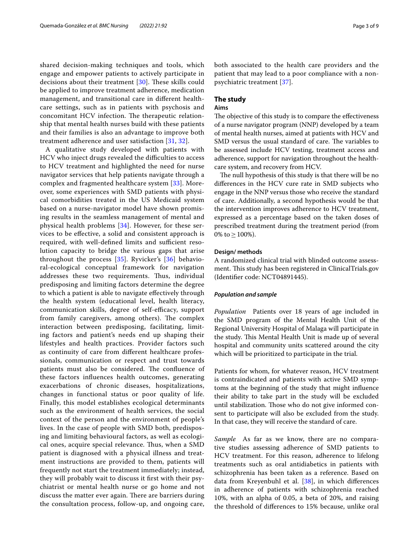shared decision-making techniques and tools, which engage and empower patients to actively participate in decisions about their treatment  $[30]$  $[30]$  $[30]$ . These skills could be applied to improve treatment adherence, medication management, and transitional care in diferent healthcare settings, such as in patients with psychosis and concomitant HCV infection. The therapeutic relationship that mental health nurses build with these patients and their families is also an advantage to improve both treatment adherence and user satisfaction [[31,](#page-8-8) [32\]](#page-8-9).

A qualitative study developed with patients with HCV who inject drugs revealed the difficulties to access to HCV treatment and highlighted the need for nurse navigator services that help patients navigate through a complex and fragmented healthcare system [[33\]](#page-8-10). Moreover, some experiences with SMD patients with physical comorbidities treated in the US Medicaid system based on a nurse-navigator model have shown promising results in the seamless management of mental and physical health problems [[34\]](#page-8-11). However, for these services to be efective, a solid and consistent approach is required, with well-defined limits and sufficient resolution capacity to bridge the various gaps that arise throughout the process [\[35](#page-8-12)]. Ryvicker's [\[36](#page-8-13)] behavioral-ecological conceptual framework for navigation addresses these two requirements. Thus, individual predisposing and limiting factors determine the degree to which a patient is able to navigate efectively through the health system (educational level, health literacy, communication skills, degree of self-efficacy, support from family caregivers, among others). The complex interaction between predisposing, facilitating, limiting factors and patient's needs end up shaping their lifestyles and health practices. Provider factors such as continuity of care from diferent healthcare professionals, communication or respect and trust towards patients must also be considered. The confluence of these factors infuences health outcomes, generating exacerbations of chronic diseases, hospitalizations, changes in functional status or poor quality of life. Finally, this model establishes ecological determinants such as the environment of health services, the social context of the person and the environment of people's lives. In the case of people with SMD both, predisposing and limiting behavioural factors, as well as ecological ones, acquire special relevance. Thus, when a SMD patient is diagnosed with a physical illness and treatment instructions are provided to them, patients will frequently not start the treatment immediately; instead, they will probably wait to discuss it frst with their psychiatrist or mental health nurse or go home and not discuss the matter ever again. There are barriers during the consultation process, follow-up, and ongoing care, both associated to the health care providers and the patient that may lead to a poor compliance with a nonpsychiatric treatment [[37\]](#page-8-14).

# **The study**

# **Aims**

The objective of this study is to compare the effectiveness of a nurse navigator program (NNP) developed by a team of mental health nurses, aimed at patients with HCV and SMD versus the usual standard of care. The variables to be assessed include HCV testing, treatment access and adherence, support for navigation throughout the healthcare system, and recovery from HCV.

The null hypothesis of this study is that there will be no diferences in the HCV cure rate in SMD subjects who engage in the NNP versus those who receive the standard of care. Additionally, a second hypothesis would be that the intervention improves adherence to HCV treatment, expressed as a percentage based on the taken doses of prescribed treatment during the treatment period (from 0% to  $\geq$  100%).

### **Design/ methods**

A randomized clinical trial with blinded outcome assessment. This study has been registered in ClinicalTrials.gov (Identifer code: NCT04891445).

### *Population and sample*

*Population* Patients over 18 years of age included in the SMD program of the Mental Health Unit of the Regional University Hospital of Malaga will participate in the study. This Mental Health Unit is made up of several hospital and community units scattered around the city which will be prioritized to participate in the trial.

Patients for whom, for whatever reason, HCV treatment is contraindicated and patients with active SMD symptoms at the beginning of the study that might infuence their ability to take part in the study will be excluded until stabilization. Those who do not give informed consent to participate will also be excluded from the study. In that case, they will receive the standard of care.

*Sample* As far as we know, there are no comparative studies assessing adherence of SMD patients to HCV treatment. For this reason, adherence to lifelong treatments such as oral antidiabetics in patients with schizophrenia has been taken as a reference. Based on data from Kreyenbuhl et al. [[38](#page-8-15)], in which diferences in adherence of patients with schizophrenia reached 10%, with an alpha of 0.05, a beta of 20%, and raising the threshold of diferences to 15% because, unlike oral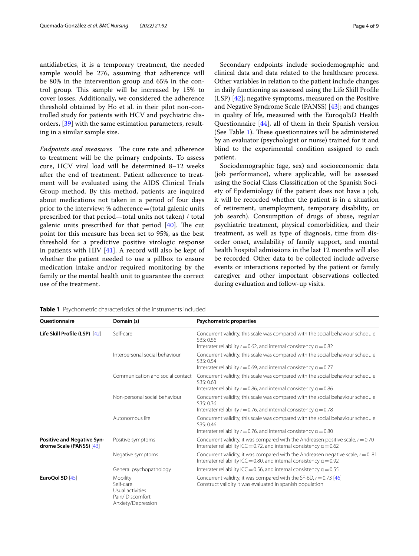antidiabetics, it is a temporary treatment, the needed sample would be 276, assuming that adherence will be 80% in the intervention group and 65% in the control group. This sample will be increased by 15% to cover losses. Additionally, we considered the adherence threshold obtained by Ho et al. in their pilot non-controlled study for patients with HCV and psychiatric disorders, [\[39](#page-8-16)] with the same estimation parameters, resulting in a similar sample size.

*Endpoints and measures* The cure rate and adherence to treatment will be the primary endpoints. To assess cure, HCV viral load will be determined 8–12 weeks after the end of treatment. Patient adherence to treatment will be evaluated using the AIDS Clinical Trials Group method. By this method, patients are inquired about medications not taken in a period of four days prior to the interview: % adherence=(total galenic units prescribed for that period—total units not taken) / total galenic units prescribed for that period  $[40]$  $[40]$ . The cut point for this measure has been set to 95%, as the best threshold for a predictive positive virologic response in patients with HIV [[41\]](#page-8-18). A record will also be kept of whether the patient needed to use a pillbox to ensure medication intake and/or required monitoring by the family or the mental health unit to guarantee the correct use of the treatment.

Secondary endpoints include sociodemographic and clinical data and data related to the healthcare process. Other variables in relation to the patient include changes in daily functioning as assessed using the Life Skill Profle (LSP) [\[42](#page-8-19)]; negative symptoms, measured on the Positive and Negative Syndrome Scale (PANSS) [\[43](#page-8-20)]; and changes in quality of life, measured with the Euroqol5D Health Questionnaire [\[44\]](#page-8-21), all of them in their Spanish version (See Table [1\)](#page-3-0). These questionnaires will be administered by an evaluator (psychologist or nurse) trained for it and blind to the experimental condition assigned to each patient.

Sociodemographic (age, sex) and socioeconomic data (job performance), where applicable, will be assessed using the Social Class Classifcation of the Spanish Society of Epidemiology (if the patient does not have a job, it will be recorded whether the patient is in a situation of retirement, unemployment, temporary disability, or job search). Consumption of drugs of abuse, regular psychiatric treatment, physical comorbidities, and their treatment, as well as type of diagnosis, time from disorder onset, availability of family support, and mental health hospital admissions in the last 12 months will also be recorded. Other data to be collected include adverse events or interactions reported by the patient or family caregiver and other important observations collected during evaluation and follow-up visits.

| <b>Ouestionnaire</b>                                          | Domain (s)                                                                         | Psychometric properties                                                                                                                                                      |
|---------------------------------------------------------------|------------------------------------------------------------------------------------|------------------------------------------------------------------------------------------------------------------------------------------------------------------------------|
| Life Skill Profile (LSP) [42]                                 | Self-care                                                                          | Concurrent validity, this scale was compared with the social behaviour schedule<br>SBS: 0.56<br>Interrater reliability $r = 0.62$ , and internal consistency $\alpha = 0.82$ |
|                                                               | Interpersonal social behaviour                                                     | Concurrent validity, this scale was compared with the social behaviour schedule<br>SBS: 0.54<br>Interrater reliability $r = 0.69$ , and internal consistency $\alpha = 0.77$ |
|                                                               | Communication and social contact                                                   | Concurrent validity, this scale was compared with the social behaviour schedule<br>SBS: 0.63<br>Interrater reliability $r = 0.86$ , and internal consistency $\alpha = 0.86$ |
|                                                               | Non-personal social behaviour                                                      | Concurrent validity, this scale was compared with the social behaviour schedule<br>SBS: 0.36<br>Interrater reliability $r = 0.76$ , and internal consistency $\alpha = 0.78$ |
|                                                               | Autonomous life                                                                    | Concurrent validity, this scale was compared with the social behaviour schedule<br>SBS: 0.46<br>Interrater reliability $r = 0.76$ , and internal consistency $\alpha = 0.80$ |
| <b>Positive and Negative Syn-</b><br>drome Scale (PANSS) [43] | Positive symptoms                                                                  | Concurrent validity, it was compared with the Andreasen positive scale, $r = 0.70$<br>Interrater reliability ICC = 0.72, and internal consistency $\alpha$ = 0.62            |
|                                                               | Negative symptoms                                                                  | Concurrent validity, it was compared with the Andreasen negative scale, $r = 0.81$<br>Interrater reliability ICC = 0.80, and internal consistency $\alpha$ = 0.92            |
|                                                               | General psychopathology                                                            | Interrater reliability ICC = 0.56, and internal consistency $\alpha$ = 0.55                                                                                                  |
| EuroQol 5D [45]                                               | Mobility<br>Self-care<br>Usual activities<br>Pain/Discomfort<br>Anxiety/Depression | Concurrent validity, it was compared with the SF-6D, $r = 0.73$ [46]<br>Construct validity it was evaluated in spanish population                                            |

<span id="page-3-0"></span>**Table 1** Psychometric characteristics of the instruments included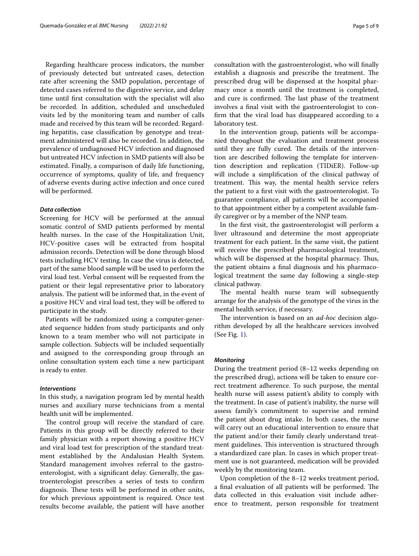Regarding healthcare process indicators, the number of previously detected but untreated cases, detection rate after screening the SMD population, percentage of detected cases referred to the digestive service, and delay time until frst consultation with the specialist will also be recorded. In addition, scheduled and unscheduled visits led by the monitoring team and number of calls made and received by this team will be recorded. Regarding hepatitis, case classifcation by genotype and treatment administered will also be recorded. In addition, the prevalence of undiagnosed HCV infection and diagnosed but untreated HCV infection in SMD patients will also be estimated. Finally, a comparison of daily life functioning, occurrence of symptoms, quality of life, and frequency of adverse events during active infection and once cured will be performed.

## *Data collection*

Screening for HCV will be performed at the annual somatic control of SMD patients performed by mental health nurses. In the case of the Hospitalization Unit, HCV-positive cases will be extracted from hospital admission records. Detection will be done through blood tests including HCV testing. In case the virus is detected, part of the same blood sample will be used to perform the viral load test. Verbal consent will be requested from the patient or their legal representative prior to laboratory analysis. The patient will be informed that, in the event of a positive HCV and viral load test, they will be ofered to participate in the study.

Patients will be randomized using a computer-generated sequence hidden from study participants and only known to a team member who will not participate in sample collection. Subjects will be included sequentially and assigned to the corresponding group through an online consultation system each time a new participant is ready to enter.

#### *Interventions*

In this study, a navigation program led by mental health nurses and auxiliary nurse technicians from a mental health unit will be implemented.

The control group will receive the standard of care. Patients in this group will be directly referred to their family physician with a report showing a positive HCV and viral load test for prescription of the standard treatment established by the Andalusian Health System. Standard management involves referral to the gastroenterologist, with a signifcant delay. Generally, the gastroenterologist prescribes a series of tests to confrm diagnosis. These tests will be performed in other units, for which previous appointment is required. Once test results become available, the patient will have another consultation with the gastroenterologist, who will fnally establish a diagnosis and prescribe the treatment. The prescribed drug will be dispensed at the hospital pharmacy once a month until the treatment is completed, and cure is confirmed. The last phase of the treatment involves a fnal visit with the gastroenterologist to confrm that the viral load has disappeared according to a laboratory test.

In the intervention group, patients will be accompanied throughout the evaluation and treatment process until they are fully cured. The details of the intervention are described following the template for intervention description and replication (TIDiER). Follow-up will include a simplifcation of the clinical pathway of treatment. This way, the mental health service refers the patient to a frst visit with the gastroenterologist. To guarantee compliance, all patients will be accompanied to that appointment either by a competent available family caregiver or by a member of the NNP team.

In the frst visit, the gastroenterologist will perform a liver ultrasound and determine the most appropriate treatment for each patient. In the same visit, the patient will receive the prescribed pharmacological treatment, which will be dispensed at the hospital pharmacy. Thus, the patient obtains a fnal diagnosis and his pharmacological treatment the same day following a single-step clinical pathway.

The mental health nurse team will subsequently arrange for the analysis of the genotype of the virus in the mental health service, if necessary.

The intervention is based on an *ad-hoc* decision algorithm developed by all the healthcare services involved (See Fig. [1](#page-5-0)).

#### *Monitoring*

During the treatment period (8–12 weeks depending on the prescribed drug), actions will be taken to ensure correct treatment adherence. To such purpose, the mental health nurse will assess patient's ability to comply with the treatment. In case of patient's inability, the nurse will assess family's commitment to supervise and remind the patient about drug intake. In both cases, the nurse will carry out an educational intervention to ensure that the patient and/or their family clearly understand treatment guidelines. This intervention is structured through a standardized care plan. In cases in which proper treatment use is not guaranteed, medication will be provided weekly by the monitoring team.

Upon completion of the 8–12 weeks treatment period, a final evaluation of all patients will be performed. The data collected in this evaluation visit include adherence to treatment, person responsible for treatment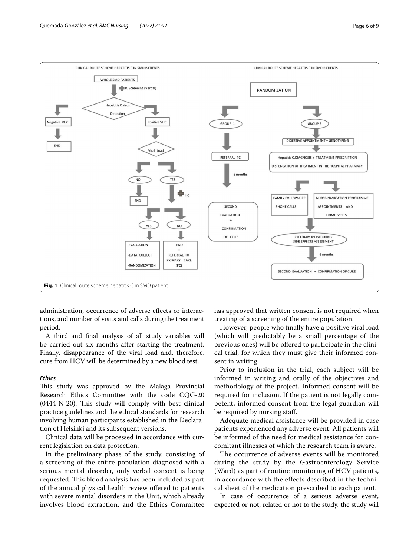



<span id="page-5-0"></span>administration, occurrence of adverse efects or interactions, and number of visits and calls during the treatment period.

A third and fnal analysis of all study variables will be carried out six months after starting the treatment. Finally, disappearance of the viral load and, therefore, cure from HCV will be determined by a new blood test.

## *Ethics*

This study was approved by the Malaga Provincial Research Ethics Committee with the code CQG-20  $(0444-N-20)$ . This study will comply with best clinical practice guidelines and the ethical standards for research involving human participants established in the Declaration of Helsinki and its subsequent versions.

Clinical data will be processed in accordance with current legislation on data protection.

In the preliminary phase of the study, consisting of a screening of the entire population diagnosed with a serious mental disorder, only verbal consent is being requested. This blood analysis has been included as part of the annual physical health review ofered to patients with severe mental disorders in the Unit, which already involves blood extraction, and the Ethics Committee has approved that written consent is not required when treating of a screening of the entire population.

However, people who fnally have a positive viral load (which will predictably be a small percentage of the previous ones) will be offered to participate in the clinical trial, for which they must give their informed consent in writing.

Prior to inclusion in the trial, each subject will be informed in writing and orally of the objectives and methodology of the project. Informed consent will be required for inclusion. If the patient is not legally competent, informed consent from the legal guardian will be required by nursing staf.

Adequate medical assistance will be provided in case patients experienced any adverse event. All patients will be informed of the need for medical assistance for concomitant illnesses of which the research team is aware.

The occurrence of adverse events will be monitored during the study by the Gastroenterology Service (Ward) as part of routine monitoring of HCV patients, in accordance with the effects described in the technical sheet of the medication prescribed to each patient.

In case of occurrence of a serious adverse event, expected or not, related or not to the study, the study will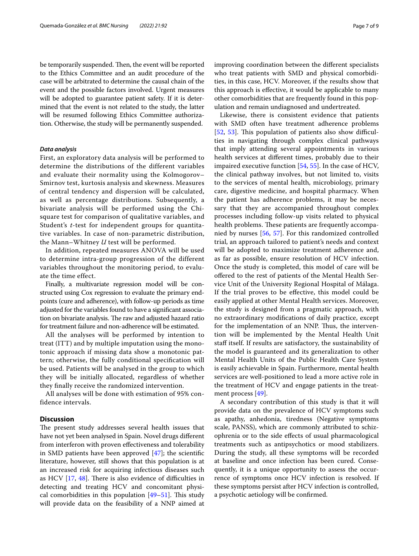be temporarily suspended. Then, the event will be reported to the Ethics Committee and an audit procedure of the case will be arbitrated to determine the causal chain of the event and the possible factors involved. Urgent measures will be adopted to guarantee patient safety. If it is determined that the event is not related to the study, the latter will be resumed following Ethics Committee authorization. Otherwise, the study will be permanently suspended.

#### *Data analysis*

First, an exploratory data analysis will be performed to determine the distributions of the different variables and evaluate their normality using the Kolmogorov– Smirnov test, kurtosis analysis and skewness. Measures of central tendency and dispersion will be calculated, as well as percentage distributions. Subsequently, a bivariate analysis will be performed using the Chisquare test for comparison of qualitative variables, and Student's *t*-test for independent groups for quantitative variables. In case of non-parametric distribution, the Mann–Whitney *U* test will be performed.

In addition, repeated measures ANOVA will be used to determine intra-group progression of the different variables throughout the monitoring period, to evaluate the time effect.

Finally, a multivariate regression model will be constructed using Cox regression to evaluate the primary endpoints (cure and adherence), with follow-up periods as time adjusted for the variables found to have a signifcant association on bivariate analysis. The raw and adjusted hazard ratio for treatment failure and non-adherence will be estimated.

All the analyses will be performed by intention to treat (ITT) and by multiple imputation using the monotonic approach if missing data show a monotonic pattern; otherwise, the fully conditional specifcation will be used. Patients will be analysed in the group to which they will be initially allocated, regardless of whether they fnally receive the randomized intervention.

All analyses will be done with estimation of 95% confidence intervals.

## **Discussion**

The present study addresses several health issues that have not yet been analysed in Spain. Novel drugs diferent from interferon with proven efectiveness and tolerability in SMD patients have been approved [[47\]](#page-8-24); the scientifc literature, however, still shows that this population is at an increased risk for acquiring infectious diseases such as HCV  $[17, 48]$  $[17, 48]$  $[17, 48]$  $[17, 48]$ . There is also evidence of difficulties in detecting and treating HCV and concomitant physical comorbidities in this population  $[49-51]$  $[49-51]$ . This study will provide data on the feasibility of a NNP aimed at improving coordination between the diferent specialists who treat patients with SMD and physical comorbidities, in this case, HCV. Moreover, if the results show that this approach is efective, it would be applicable to many other comorbidities that are frequently found in this population and remain undiagnosed and undertreated.

Likewise, there is consistent evidence that patients with SMD often have treatment adherence problems  $[52, 53]$  $[52, 53]$  $[52, 53]$  $[52, 53]$ . This population of patients also show difficulties in navigating through complex clinical pathways that imply attending several appointments in various health services at diferent times, probably due to their impaired executive function [\[54](#page-8-30), [55\]](#page-8-31). In the case of HCV, the clinical pathway involves, but not limited to, visits to the services of mental health, microbiology, primary care, digestive medicine, and hospital pharmacy. When the patient has adherence problems, it may be necessary that they are accompanied throughout complex processes including follow-up visits related to physical health problems. These patients are frequently accompanied by nurses [[56,](#page-8-32) [57](#page-8-33)]. For this randomized controlled trial, an approach tailored to patient's needs and context will be adopted to maximize treatment adherence and, as far as possible, ensure resolution of HCV infection. Once the study is completed, this model of care will be ofered to the rest of patients of the Mental Health Service Unit of the University Regional Hospital of Málaga. If the trial proves to be efective, this model could be easily applied at other Mental Health services. Moreover, the study is designed from a pragmatic approach, with no extraordinary modifcations of daily practice, except for the implementation of an NNP. Thus, the intervention will be implemented by the Mental Health Unit staff itself. If results are satisfactory, the sustainability of the model is guaranteed and its generalization to other Mental Health Units of the Public Health Care System is easily achievable in Spain. Furthermore, mental health services are well-positioned to lead a more active role in the treatment of HCV and engage patients in the treatment process [\[49](#page-8-26)].

A secondary contribution of this study is that it will provide data on the prevalence of HCV symptoms such as apathy, anhedonia, tiredness (Negative symptoms scale, PANSS), which are commonly attributed to schizophrenia or to the side efects of usual pharmacological treatments such as antipsychotics or mood stabilizers. During the study, all these symptoms will be recorded at baseline and once infection has been cured. Consequently, it is a unique opportunity to assess the occurrence of symptoms once HCV infection is resolved. If these symptoms persist after HCV infection is controlled, a psychotic aetiology will be confrmed.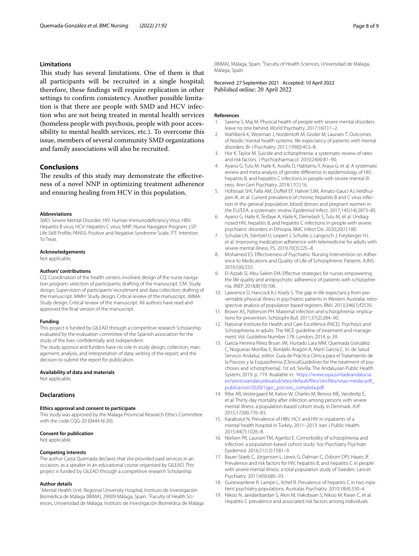#### **Limitations**

This study has several limitations. One of them is that all participants will be recruited in a single hospital; therefore, these fndings will require replication in other settings to confrm consistency. Another possible limitation is that there are people with SMD and HCV infection who are not being treated in mental health services (homeless people with psychosis, people with poor accessibility to mental health services, etc.). To overcome this issue, members of several community SMD organizations and family associations will also be recruited.

## **Conclusions**

The results of this study may demonstrate the effectiveness of a novel NNP in optimizing treatment adherence and ensuring healing from HCV in this population.

#### **Abbreviations**

SMD: Severe Mental Disorder; HIV: Human Immunodefciency Virus; HBV: Hepatitis B virus; HCV: Hepatitis C virus; NNP: Nurse Navigator Program; LSP: Life Skill Profle; PANSS: Positive and Negative Syndrome Scale; ITT: Intention To Treat.

#### **Acknowledgements**

Not applicable.

#### **Authors' contributions**

CQ: Coordination of the health centers involved; design of the nurse navigation program; selection of participants; drafting of the manuscript. CM: Study design; Supervision of participants' recruitment and data collection; drafting of the manuscript. MMH: Study design; Critical review of the manuscript. JMMA: Study design; Critical review of the manuscript. All authors have read and approved the fnal version of the manuscript.

#### **Funding**

This project is funded by GILEAD through a competitive research Scholarship evaluated by the evaluation committee of the Spanish association for the study of the liver, confdentially and independent.

The study sponsor and funders have no role in study design; collection, management, analysis, and interpretation of data; writing of the report; and the decision to submit the report for publication.

#### **Availability of data and materials**

Not applicable.

#### **Declarations**

#### **Ethics approval and consent to participate**

This study was approved by the Malaga Provincial Research Ethics Committee with the code CQG-20 (0444-N-20).

#### **Consent for publication**

Not applicable.

#### **Competing interests**

The author Casta Quemada declares that she provided paid services in an occasion, as a speaker in an educational course organised by GILEAD. This project is funded by GILEAD through a competitive research Scholarship.

#### **Author details**

<sup>1</sup> Mental Health Unit, Regional University Hospital, Instituto de Investigación Biomédica de Málaga (IBIMA), 29009 Málaga, Spain. <sup>2</sup>Faculty of Health Sciences, Universidad de Málaga, Instituto de Investigación Biomédica de Málaga (IBIMA), Málaga, Spain. <sup>3</sup> Faculty of Health Sciences, Universidad de Málaga, Málaga, Spain.

Received: 27 September 2021 Accepted: 10 April 2022

#### **References**

- <span id="page-7-0"></span>Saxena S, Maj M. Physical health of people with severe mental disorders: leave no one behind. World Psychiatry. 2017;16(1):1–2.
- <span id="page-7-1"></span>2. Wahlbeck K, Westman J, Nordentoft M, Gissler M, Laursen T. Outcomes of Nordic mental health systems: life expectancy of patients with mental disorders. Br J Psychiatry. 2011;199(6):453–8.
- <span id="page-7-2"></span>3. Hor K, Taylor M. Suicide and schizophrenia: a systematic review of rates and risk factors. J Psychopharmacol. 2010;24(4):81–90.
- <span id="page-7-3"></span>4. Ayano G, Tulu M, Haile K, Assefa D, Habtamu Y, Araya G, et al. A systematic review and meta-analysis of gender diference in epidemiology of HIV, hepatitis B, and hepatitis C infections in people with severe mental illness. Ann Gen Psychiatry. 2018;17(1):16.
- <span id="page-7-4"></span>5. Hofstraat SHI, Falla AM, Duffell EF, Hahné SJM, Amato-Gauci AJ, Veldhuijzen IK, et al. Current prevalence of chronic hepatitis B and C virus infection in the general population, blood donors and pregnant women in the EU/EEA: a systematic review. Epidemiol Infect. 2017;145(14):2873–85.
- <span id="page-7-5"></span>6. Ayano G, Haile K, Tesfaye A, Haile K, Demelash S, Tulu M, et al. Undiagnosed HIV, hepatitis B, and hepatitis C infections in people with severe psychiatric disorders in Ethiopia. BMC Infect Dis. 2020;20(1):180.
- <span id="page-7-6"></span>7. Schulze LN, Stentzel U, Leipert J, Schulte J, Langosch J, Freyberger HJ, et al. Improving medication adherence with telemedicine for adults with severe mental illness. PS. 2019;70(3):225–8.
- <span id="page-7-7"></span>8. Mohamed ES. Effectiveness of Psychiatric Nursing Intervention on Adherence to Medications and Quality of Life of Schizophrenic Patients. AJNS. 2016;5(6):232.
- <span id="page-7-8"></span>9. El-Azzab SI, Abu-Salem EM. Efective strategies for nurses empowering the life quality and antipsychotic adherence of patients with schizophrenia. JNEP. 2018;8(10):106.
- <span id="page-7-9"></span>10. Lawrence D, Hancock KJ, Kisely S. The gap in life expectancy from preventable physical illness in psychiatric patients in Western Australia: retrospective analysis of population based registers. BMJ. 2013;346(1):f2539.
- <span id="page-7-10"></span>11. Brown AS, Patterson PH. Maternal infection and schizophrenia: implications for prevention. Schizophr Bull. 2011;37(2):284–90.
- <span id="page-7-11"></span>12. National Institute for Health and Care Excellence (NICE). Psychosis and Schizophrenia in adults. The NICE quideline of treatment and management. Vol. Guideline Number 178. London; 2014. p. 39.
- <span id="page-7-12"></span>13. García-Herrera Pérez Bryan JM, Hurtado Lara MM, Quemada González C, Nogueras Morillas E, Bordallo Aragón A, Martí García C. In: de Salud Servicio Andaluz, editor. Guía de Práctica Clínica para el Tratamiento de la Psicosis y la Esquizofrenia [ClinicalGuidelines for the treatment of psychoses and schizophrenia]. 1st ed. Sevilla: The Andalusian Public Health System; 2019. p. 719. Available in: [https://www.sspa.juntadeandalucia.](https://www.sspa.juntadeandalucia.es/servicioandaluzdesalud/sites/default/files/sincfiles/wsas-media-pdf_publicacion/2020/1gpc_psicosis_completa.pdf) [es/servicioandaluzdesalud/sites/default/fles/sincfiles/wsas-media-pdf\\_](https://www.sspa.juntadeandalucia.es/servicioandaluzdesalud/sites/default/files/sincfiles/wsas-media-pdf_publicacion/2020/1gpc_psicosis_completa.pdf) [publicacion/2020/1gpc\\_psicosis\\_completa.pdf](https://www.sspa.juntadeandalucia.es/servicioandaluzdesalud/sites/default/files/sincfiles/wsas-media-pdf_publicacion/2020/1gpc_psicosis_completa.pdf).
- <span id="page-7-13"></span>14. Ribe AR, Vestergaard M, Katon W, Charles M, Benros ME, Vanderlip E, et al. Thirty-day mortality after infection among persons with severe mental illness: a population-based cohort study in Denmark. AJP. 2015;172(8):776–83.
- <span id="page-7-14"></span>15. Karabulut N. Prevalence of HBV, HCV and HIV in inpatients of a mental health hospital in Turkey, 2011–2013. Iran J Public Health. 2015;44(7):1026–8.
- <span id="page-7-15"></span>16. Nielsen PR, Laursen TM, Agerbo E. Comorbidity of schizophrenia and infection: a population-based cohort study. Soc Psychiatry Psychiatr Epidemiol. 2016;51(12):1581–9.
- <span id="page-7-16"></span>17. Bauer-Staeb C, Jörgensen L, Lewis G, Dalman C, Osborn DPJ, Hayes JF. Prevalence and risk factors for HIV, hepatitis B, and hepatitis C in people with severe mental illness: a total population study of Sweden. Lancet Psychiatry. 2017;4(9):685–93.
- 18. Gunewardene R, Lampe L, Ilchef R. Prevalence of hepatitis C in two inpatient psychiatry populations. Australas Psychiatry. 2010;18(4):330–4.
- <span id="page-7-17"></span>19. Nikoo N, Javidanbardan S, Akm M, Hakobyan S, Nikoo M, Kwan C, et al. Hepatitis C prevalence and associated risk factors among individuals